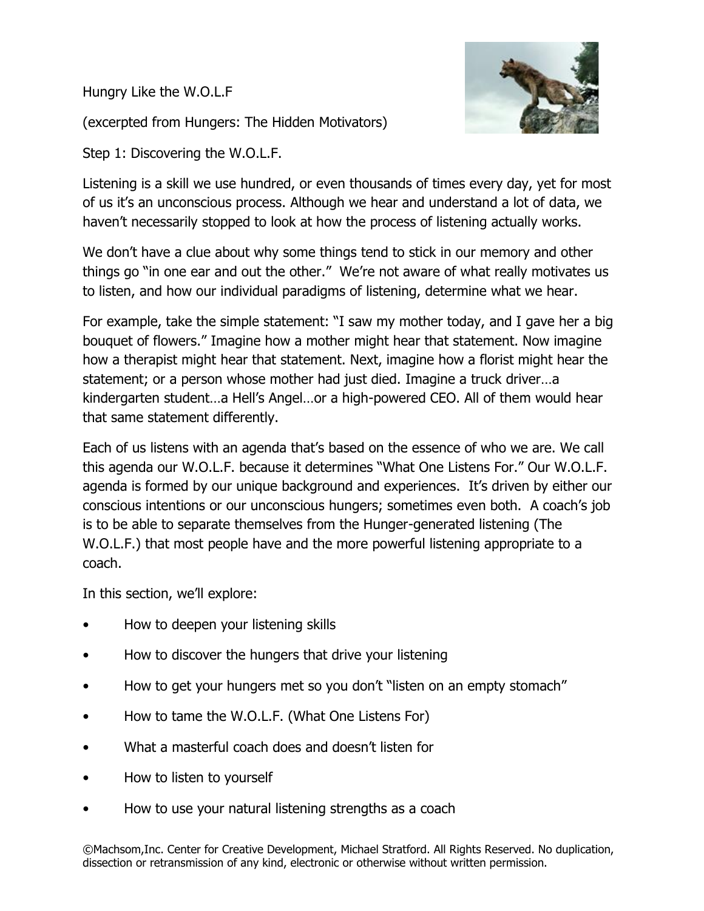Hungry Like the W.O.L.F

(excerpted from Hungers: The Hidden Motivators)

Step 1: Discovering the W.O.L.F.



Listening is a skill we use hundred, or even thousands of times every day, yet for most of us it's an unconscious process. Although we hear and understand a lot of data, we haven't necessarily stopped to look at how the process of listening actually works.

We don't have a clue about why some things tend to stick in our memory and other things go "in one ear and out the other." We're not aware of what really motivates us to listen, and how our individual paradigms of listening, determine what we hear.

For example, take the simple statement: "I saw my mother today, and I gave her a big bouquet of flowers." Imagine how a mother might hear that statement. Now imagine how a therapist might hear that statement. Next, imagine how a florist might hear the statement; or a person whose mother had just died. Imagine a truck driver…a kindergarten student…a Hell's Angel…or a high-powered CEO. All of them would hear that same statement differently.

Each of us listens with an agenda that's based on the essence of who we are. We call this agenda our W.O.L.F. because it determines "What One Listens For." Our W.O.L.F. agenda is formed by our unique background and experiences. It's driven by either our conscious intentions or our unconscious hungers; sometimes even both. A coach's job is to be able to separate themselves from the Hunger-generated listening (The W.O.L.F.) that most people have and the more powerful listening appropriate to a coach.

In this section, we'll explore:

- How to deepen your listening skills
- How to discover the hungers that drive your listening
- How to get your hungers met so you don't "listen on an empty stomach"
- How to tame the W.O.L.F. (What One Listens For)
- What a masterful coach does and doesn't listen for
- How to listen to yourself
- How to use your natural listening strengths as a coach

©Machsom,Inc. Center for Creative Development, Michael Stratford. All Rights Reserved. No duplication, dissection or retransmission of any kind, electronic or otherwise without written permission.